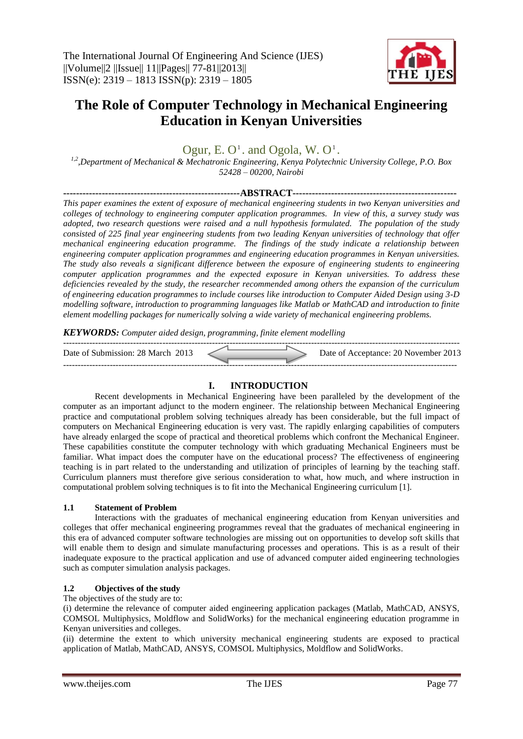

# **The Role of Computer Technology in Mechanical Engineering Education in Kenyan Universities**

Ogur, E.  $O<sup>1</sup>$ . and Ogola, W.  $O<sup>1</sup>$ .

*1,2 ,Department of Mechanical & Mechatronic Engineering, Kenya Polytechnic University College, P.O. Box 52428 – 00200, Nairobi*

#### **-------------------------------------------------------ABSTRACT---------------------------------------------------**

*This paper examines the extent of exposure of mechanical engineering students in two Kenyan universities and colleges of technology to engineering computer application programmes. In view of this, a survey study was adopted, two research questions were raised and a null hypothesis formulated. The population of the study consisted of 225 final year engineering students from two leading Kenyan universities of technology that offer mechanical engineering education programme. The findings of the study indicate a relationship between engineering computer application programmes and engineering education programmes in Kenyan universities. The study also reveals a significant difference between the exposure of engineering students to engineering computer application programmes and the expected exposure in Kenyan universities. To address these deficiencies revealed by the study, the researcher recommended among others the expansion of the curriculum of engineering education programmes to include courses like introduction to Computer Aided Design using 3-D modelling software, introduction to programming languages like Matlab or MathCAD and introduction to finite element modelling packages for numerically solving a wide variety of mechanical engineering problems.*

*KEYWORDS: Computer aided design, programming, finite element modelling*

| Date of Submission: 28 March 2013 |  | Date of Acceptance: 20 November 2013 |
|-----------------------------------|--|--------------------------------------|
|                                   |  |                                      |

# **I. INTRODUCTION**

Recent developments in Mechanical Engineering have been paralleled by the development of the computer as an important adjunct to the modern engineer. The relationship between Mechanical Engineering practice and computational problem solving techniques already has been considerable, but the full impact of computers on Mechanical Engineering education is very vast. The rapidly enlarging capabilities of computers have already enlarged the scope of practical and theoretical problems which confront the Mechanical Engineer. These capabilities constitute the computer technology with which graduating Mechanical Engineers must be familiar. What impact does the computer have on the educational process? The effectiveness of engineering teaching is in part related to the understanding and utilization of principles of learning by the teaching staff. Curriculum planners must therefore give serious consideration to what, how much, and where instruction in computational problem solving techniques is to fit into the Mechanical Engineering curriculum [1].

## **1.1 Statement of Problem**

Interactions with the graduates of mechanical engineering education from Kenyan universities and colleges that offer mechanical engineering programmes reveal that the graduates of mechanical engineering in this era of advanced computer software technologies are missing out on opportunities to develop soft skills that will enable them to design and simulate manufacturing processes and operations. This is as a result of their inadequate exposure to the practical application and use of advanced computer aided engineering technologies such as computer simulation analysis packages.

## **1.2 Objectives of the study**

## The objectives of the study are to:

(i) determine the relevance of computer aided engineering application packages (Matlab, MathCAD, ANSYS, COMSOL Multiphysics, Moldflow and SolidWorks) for the mechanical engineering education programme in Kenyan universities and colleges.

(ii) determine the extent to which university mechanical engineering students are exposed to practical application of Matlab, MathCAD, ANSYS, COMSOL Multiphysics, Moldflow and SolidWorks.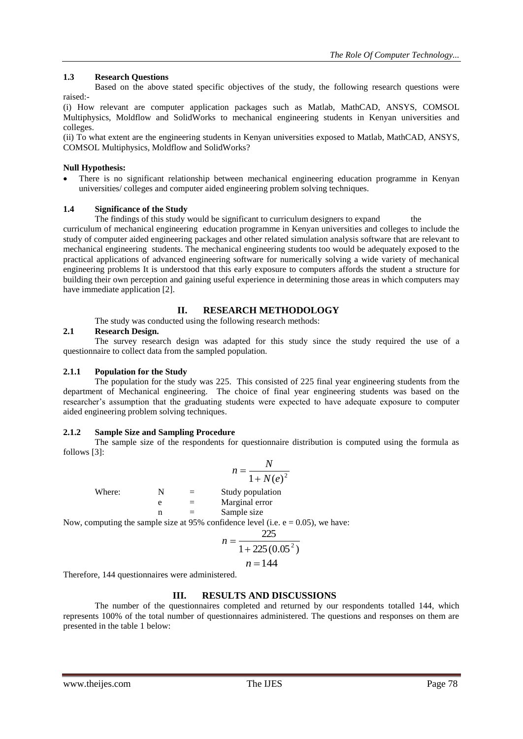## **1.3 Research Questions**

Based on the above stated specific objectives of the study, the following research questions were raised:-

(i) How relevant are computer application packages such as Matlab, MathCAD, ANSYS, COMSOL Multiphysics, Moldflow and SolidWorks to mechanical engineering students in Kenyan universities and colleges.

(ii) To what extent are the engineering students in Kenyan universities exposed to Matlab, MathCAD, ANSYS, COMSOL Multiphysics, Moldflow and SolidWorks?

### **Null Hypothesis:**

 There is no significant relationship between mechanical engineering education programme in Kenyan universities/ colleges and computer aided engineering problem solving techniques.

## **1.4 Significance of the Study**

The findings of this study would be significant to curriculum designers to expand the curriculum of mechanical engineering education programme in Kenyan universities and colleges to include the study of computer aided engineering packages and other related simulation analysis software that are relevant to mechanical engineering students. The mechanical engineering students too would be adequately exposed to the practical applications of advanced engineering software for numerically solving a wide variety of mechanical engineering problems It is understood that this early exposure to computers affords the student a structure for building their own perception and gaining useful experience in determining those areas in which computers may have immediate application [2].

## **II. RESEARCH METHODOLOGY**

The study was conducted using the following research methods:

#### **2.1 Research Design.**

The survey research design was adapted for this study since the study required the use of a questionnaire to collect data from the sampled population.

#### **2.1.1 Population for the Study**

The population for the study was 225. This consisted of 225 final year engineering students from the department of Mechanical engineering. The choice of final year engineering students was based on the researcher's assumption that the graduating students were expected to have adequate exposure to computer aided engineering problem solving techniques.

#### **2.1.2 Sample Size and Sampling Procedure**

The sample size of the respondents for questionnaire distribution is computed using the formula as follows [3]:

Where:

\n
$$
n = \frac{N}{1 + N(e)^{2}}
$$
\nWhere:

\n
$$
N = \text{Study population}
$$
\n
$$
n = \text{Marginal error}
$$
\nNow, computing the sample size at 95% confidence level (i.e. e = 0.05), we have:

\n
$$
n = \frac{225}{1 + 225(0.05^{2})}
$$

$$
n=144
$$

Therefore, 144 questionnaires were administered.

## **III. RESULTS AND DISCUSSIONS**

The number of the questionnaires completed and returned by our respondents totalled 144, which represents 100% of the total number of questionnaires administered. The questions and responses on them are presented in the table 1 below: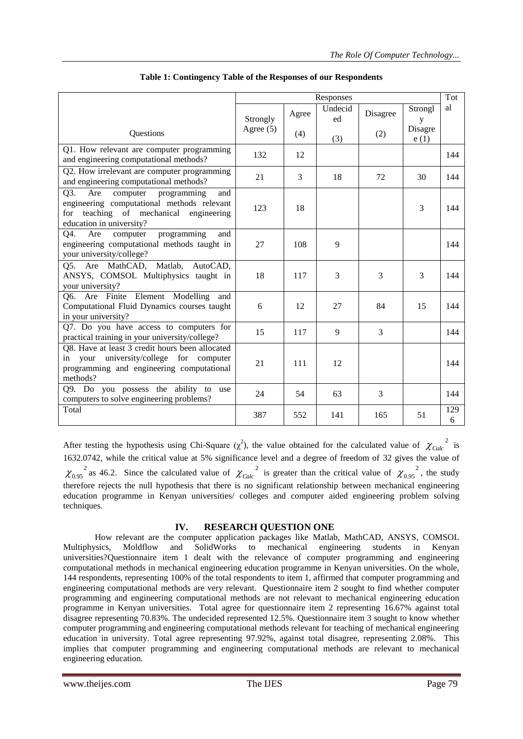|                                                                                                                                                                     | Responses   |       |                |                |                 |          |
|---------------------------------------------------------------------------------------------------------------------------------------------------------------------|-------------|-------|----------------|----------------|-----------------|----------|
|                                                                                                                                                                     | Strongly    | Agree | Undecid<br>ed  | Disagree       | Strongl<br>y    | al       |
| Questions                                                                                                                                                           | Agree $(5)$ | (4)   | (3)            | (2)            | Disagre<br>e(1) |          |
| Q1. How relevant are computer programming<br>and engineering computational methods?                                                                                 | 132         | 12    |                |                |                 | 144      |
| Q2. How irrelevant are computer programming<br>and engineering computational methods?                                                                               | 21          | 3     | 18             | 72             | 30              | 144      |
| Q3.<br>Are<br>computer<br>programming<br>and<br>engineering computational methods relevant<br>teaching of mechanical engineering<br>for<br>education in university? | 123         | 18    |                |                | 3               | 144      |
| Q4.<br>Are<br>programming<br>computer<br>and<br>engineering computational methods taught in<br>your university/college?                                             | 27          | 108   | 9              |                |                 | 144      |
| Are MathCAD, Matlab, AutoCAD,<br>Q5.<br>ANSYS, COMSOL Multiphysics taught in<br>your university?                                                                    | 18          | 117   | $\overline{3}$ | $\overline{3}$ | 3               | 144      |
| Q6. Are Finite Element Modelling<br>and<br>Computational Fluid Dynamics courses taught<br>in your university?                                                       | 6           | 12    | 27             | 84             | 15              | 144      |
| Q7. Do you have access to computers for<br>practical training in your university/college?                                                                           | 15          | 117   | 9              | $\overline{3}$ |                 | 144      |
| O8. Have at least 3 credit hours been allocated<br>your university/college for computer<br>in<br>programming and engineering computational<br>methods?              | 21          | 111   | 12             |                |                 | 144      |
| Q9. Do you possess the ability to use<br>computers to solve engineering problems?                                                                                   | 24          | 54    | 63             | 3              |                 | 144      |
| Total                                                                                                                                                               | 387         | 552   | 141            | 165            | 51              | 129<br>6 |

After testing the hypothesis using Chi-Square  $(\chi^2)$ , the value obtained for the calculated value of  $\chi_{Calc}^{2}$  is 1632.0742, while the critical value at 5% significance level and a degree of freedom of 32 gives the value of  $\chi_{0.95}^2$  as 46.2. Since the calculated value of  $\chi_{Calc}^2$  is greater than the critical value of  $\chi_{0.95}^2$ , the study therefore rejects the null hypothesis that there is no significant relationship between mechanical engineering education programme in Kenyan universities/ colleges and computer aided engineering problem solving techniques.

## **IV. RESEARCH QUESTION ONE**

How relevant are the computer application packages like Matlab, MathCAD, ANSYS, COMSOL<br>
ysics, Moldflow and SolidWorks to mechanical engineering students in Kenvan Multiphysics, Moldflow and SolidWorks to mechanical engineering students in Kenyan universities?Questionnaire item 1 dealt with the relevance of computer programming and engineering computational methods in mechanical engineering education programme in Kenyan universities. On the whole, 144 respondents, representing 100% of the total respondents to item 1, affirmed that computer programming and engineering computational methods are very relevant. Questionnaire item 2 sought to find whether computer programming and engineering computational methods are not relevant to mechanical engineering education programme in Kenyan universities. Total agree for questionnaire item 2 representing 16.67% against total disagree representing 70.83%. The undecided represented 12.5%. Questionnaire item 3 sought to know whether computer programming and engineering computational methods relevant for teaching of mechanical engineering education in university. Total agree representing 97.92%, against total disagree, representing 2.08%. This implies that computer programming and engineering computational methods are relevant to mechanical engineering education.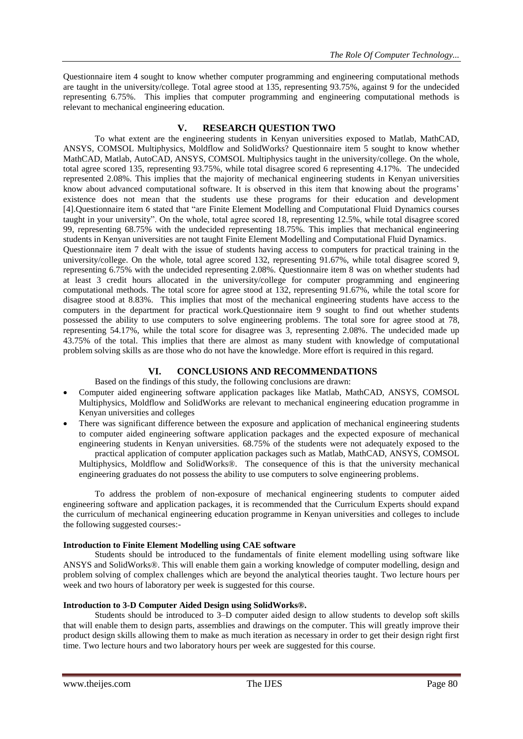Questionnaire item 4 sought to know whether computer programming and engineering computational methods are taught in the university/college. Total agree stood at 135, representing 93.75%, against 9 for the undecided representing 6.75%. This implies that computer programming and engineering computational methods is relevant to mechanical engineering education.

#### **V. RESEARCH QUESTION TWO**

To what extent are the engineering students in Kenyan universities exposed to Matlab, MathCAD, ANSYS, COMSOL Multiphysics, Moldflow and SolidWorks? Questionnaire item 5 sought to know whether MathCAD, Matlab, AutoCAD, ANSYS, COMSOL Multiphysics taught in the university/college. On the whole, total agree scored 135, representing 93.75%, while total disagree scored 6 representing 4.17%. The undecided represented 2.08%. This implies that the majority of mechanical engineering students in Kenyan universities know about advanced computational software. It is observed in this item that knowing about the programs' existence does not mean that the students use these programs for their education and development [4].Questionnaire item 6 stated that "are Finite Element Modelling and Computational Fluid Dynamics courses taught in your university". On the whole, total agree scored 18, representing 12.5%, while total disagree scored 99, representing 68.75% with the undecided representing 18.75%. This implies that mechanical engineering students in Kenyan universities are not taught Finite Element Modelling and Computational Fluid Dynamics.

Questionnaire item 7 dealt with the issue of students having access to computers for practical training in the university/college. On the whole, total agree scored 132, representing 91.67%, while total disagree scored 9, representing 6.75% with the undecided representing 2.08%. Questionnaire item 8 was on whether students had at least 3 credit hours allocated in the university/college for computer programming and engineering computational methods. The total score for agree stood at 132, representing 91.67%, while the total score for disagree stood at 8.83%. This implies that most of the mechanical engineering students have access to the computers in the department for practical work.Questionnaire item 9 sought to find out whether students possessed the ability to use computers to solve engineering problems. The total sore for agree stood at 78, representing 54.17%, while the total score for disagree was 3, representing 2.08%. The undecided made up 43.75% of the total. This implies that there are almost as many student with knowledge of computational problem solving skills as are those who do not have the knowledge. More effort is required in this regard.

#### **VI. CONCLUSIONS AND RECOMMENDATIONS**

Based on the findings of this study, the following conclusions are drawn:

- Computer aided engineering software application packages like Matlab, MathCAD, ANSYS, COMSOL Multiphysics, Moldflow and SolidWorks are relevant to mechanical engineering education programme in Kenyan universities and colleges
- There was significant difference between the exposure and application of mechanical engineering students to computer aided engineering software application packages and the expected exposure of mechanical engineering students in Kenyan universities. 68.75% of the students were not adequately exposed to the

practical application of computer application packages such as Matlab, MathCAD, ANSYS, COMSOL Multiphysics, Moldflow and SolidWorks®. The consequence of this is that the university mechanical engineering graduates do not possess the ability to use computers to solve engineering problems.

To address the problem of non-exposure of mechanical engineering students to computer aided engineering software and application packages, it is recommended that the Curriculum Experts should expand the curriculum of mechanical engineering education programme in Kenyan universities and colleges to include the following suggested courses:-

#### **Introduction to Finite Element Modelling using CAE software**

Students should be introduced to the fundamentals of finite element modelling using software like ANSYS and SolidWorks®. This will enable them gain a working knowledge of computer modelling, design and problem solving of complex challenges which are beyond the analytical theories taught. Two lecture hours per week and two hours of laboratory per week is suggested for this course.

#### **Introduction to 3-D Computer Aided Design using SolidWorks®.**

Students should be introduced to 3–D computer aided design to allow students to develop soft skills that will enable them to design parts, assemblies and drawings on the computer. This will greatly improve their product design skills allowing them to make as much iteration as necessary in order to get their design right first time. Two lecture hours and two laboratory hours per week are suggested for this course.